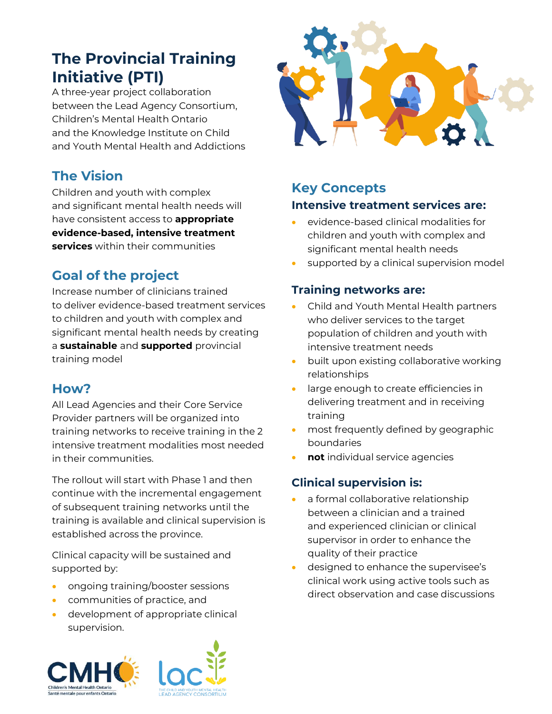# **The Provincial Training Initiative (PTI)**

A three-year project collaboration between the Lead Agency Consortium, Children's Mental Health Ontario and the Knowledge Institute on Child and Youth Mental Health and Addictions

## **The Vision**

Children and youth with complex and significant mental health needs will have consistent access to **appropriate evidence-based, intensive treatment services** within their communities

## **Goal of the project**

Increase number of clinicians trained to deliver evidence-based treatment services to children and youth with complex and significant mental health needs by creating a **sustainable** and **supported** provincial training model

#### **How?**

All Lead Agencies and their Core Service Provider partners will be organized into training networks to receive training in the 2 intensive treatment modalities most needed in their communities.

The rollout will start with Phase 1 and then continue with the incremental engagement of subsequent training networks until the training is available and clinical supervision is established across the province.

Clinical capacity will be sustained and supported by:

- ongoing training/booster sessions
- communities of practice, and
- development of appropriate clinical supervision.







## **Key Concepts Intensive treatment services are:**

- evidence-based clinical modalities for children and youth with complex and significant mental health needs
- supported by a clinical supervision model

#### **Training networks are:**

- Child and Youth Mental Health partners who deliver services to the target population of children and youth with intensive treatment needs
- built upon existing collaborative working relationships
- large enough to create efficiencies in delivering treatment and in receiving training
- most frequently defined by geographic boundaries
- **not** individual service agencies

#### **Clinical supervision is:**

- a formal collaborative relationship between a clinician and a trained and experienced clinician or clinical supervisor in order to enhance the quality of their practice
- designed to enhance the supervisee's clinical work using active tools such as direct observation and case discussions